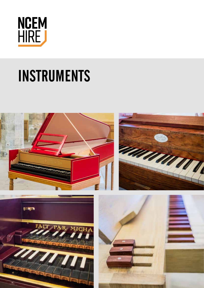

# INSTRUMENTS

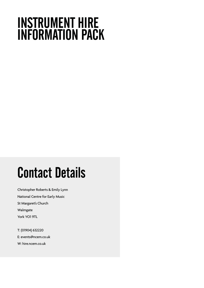## INSTRUMENT HIRE INFORMATION PACK

## Contact Details

Christopher Roberts & Emily Lynn National Centre for Early Music St Margaret's Church Walmgate York YO1 9TL

T: (01904) 632220 E: events@ncem.co.uk W: hire.ncem.co.uk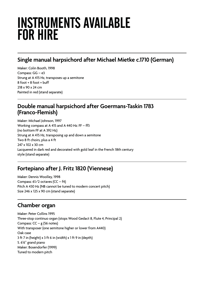### INSTRUMENTS AVAILABLE FOR HIRE

### **Single manual harpsichord after Michael Mietke c.1710 (German)**

Maker: Colin Booth, 1998 Compass: GG – e3 Strung at A 415 Hz, transposes up a semitone 8 foot + 8 foot + buff 218 x 90 x 24 cm Painted in red (stand separate)

#### **Double manual harpsichord after Goermans-Taskin 1783 (Franco-Flemish)**

Maker: Michael Johnson, 1997 Working compass at A 415 and A 440 Hz: FF – ff3 (no bottom FF at A 392 Hz) Strung at A 415 Hz, transposing up and down a semitone Two 8 ft choirs, plus a 4 ft 247 x 102 x 30 cm Lacquered in dark red and decorated with gold leaf in the French 18th century style (stand separate)

### **Fortepiano after J. Fritz 1820 (Viennese)**

Maker: Dennis Woolley, 1998 Compass:  $61/2$  octaves (CC –  $f4$ ) Pitch A 430 Hz (NB cannot be tuned to modern concert pitch) Size 246 x 125 x 90 cm (stand separate)

### **Chamber organ**

Maker: Peter Collins 1995 Three-stop continuo organ (stops Wood Gedact 8, Flute 4, Principal 2) Compass:  $CC - g$  (56 notes) With transposer (one semitone higher or lower from A440) Oak case 3 ft 7 in (height) x 3 ft 6 in (width) x 1 ft 9 in (depth) 5. 6'6" grand piano Maker: Bosendorfer (1999) Tuned to modern pitch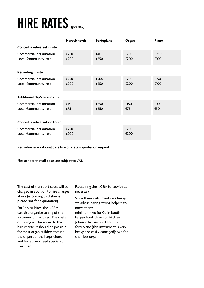# HIRE RATES (per day)

|                                                 | Harpsichords | Fortepiano   | Organ        | <b>Piano</b> |  |  |  |  |  |
|-------------------------------------------------|--------------|--------------|--------------|--------------|--|--|--|--|--|
| Concert + rehearsal in situ                     |              |              |              |              |  |  |  |  |  |
| Commercial organisation<br>Local/community rate | £250<br>£200 | £400<br>£250 | £250<br>£200 | £250<br>£100 |  |  |  |  |  |
| <b>Recording in situ</b>                        |              |              |              |              |  |  |  |  |  |
| Commercial organisation<br>Local/community rate | £250<br>£200 | £500<br>£250 | £250<br>£200 | £150<br>£100 |  |  |  |  |  |
| Additional day's hire in situ                   |              |              |              |              |  |  |  |  |  |
| Commercial organisation<br>Local/community rate | £150<br>£75  | £250<br>£250 | £150<br>£75  | £100<br>£50  |  |  |  |  |  |
| Concert + rehearsal 'on tour'                   |              |              |              |              |  |  |  |  |  |
| Commercial organisation<br>Local/community rate | £250<br>£200 |              | £250<br>£200 |              |  |  |  |  |  |

Recording & additional days hire pro rata – quotes on request

Please note that all costs are subject to VAT.

The cost of transport costs will be charged in addition to hire charges above (according to distance: please ring for a quotation).

For 'in situ' hires, the NCEM can also organise tuning of the instrument if required. The costs of tuning will be added to the hire charge. It should be possible for most organ builders to tune the organ but the harpsichord and fortepiano need specialist treatment.

Please ring the NCEM for advice as necessary.

Since these instruments are heavy, we advise having strong helpers to move them:

minimum two for Colin Booth harpsichord, three for Michael Johnson harpsichord; four for fortepiano (this instrument is very heavy and easily damaged); two for chamber organ.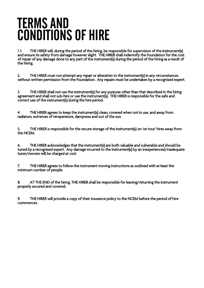### TERMS AND CONDITIONS OF HIRE

1. 1. THE HIRER will, during the period of the hiring, be responsible for supervision of the instrument(s) and ensure its safety from damage however slight. THE HIRER shall indemnify the Foundation for the cost of repair of any damage done to any part of the instrument(s) during the period of the hiring as a result of the hiring.

2. THE HIRER must not attempt any repair or alteration to the instrument(s) in any circumstances without written permission from the Foundation. Any repairs must be undertaken by a recognised expert.

3. THE HIRER shall not use the instrument(s) for any purpose other than that described in the hiring agreement and shall not sub-hire or use the instrument(s). THE HIRER is responsible for the safe and correct use of the instrument(s) during the hire period.

4. THE HIRER agrees to keep the instrument(s) clean, covered when not in use, and away from radiators, extremes of temperature, dampness and out of the sun.

5. THE HIRER is responsible for the secure storage of the instrument(s) on 'on tour' hires away from the NCEM.

6. THE HIRER acknowledges that the instrument(s) are both valuable and vulnerable and should be tuned by a recognised expert. Any damage incurred to the instrument(s) by an inexperienced/inadequate tuner/movers will be charged at cost.

7. THE HIRER agrees to follow the instrument moving instructions as outlined with at least the minimum number of people.

8. AT THE END of the hiring, THE HIRER shall be responsible for leaving/returning the instrument properly secured and covered.

9. THE HIRER will provide a copy of their insurance policy to the NCEM before the period of hire commences.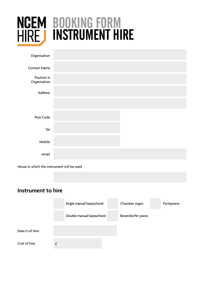

## BOOKING FORM INSTRUMENT HIRE

| Organisation                |  |
|-----------------------------|--|
| <b>Contact Name</b>         |  |
| Position in<br>Organisation |  |
| Address                     |  |
|                             |  |
| Post Code                   |  |
| Tel                         |  |
| Mobile                      |  |
| email                       |  |

Venue in which the instrument will be used

### **Instrument to hire**

|                | Single manual harpsichord | Chamber organ     | Fortepiano |
|----------------|---------------------------|-------------------|------------|
|                | Double manual harpsichord | Bosendorfer piano |            |
|                |                           |                   |            |
| Date/s of Hire |                           |                   |            |
|                |                           |                   |            |
| Cost of hire   |                           |                   |            |